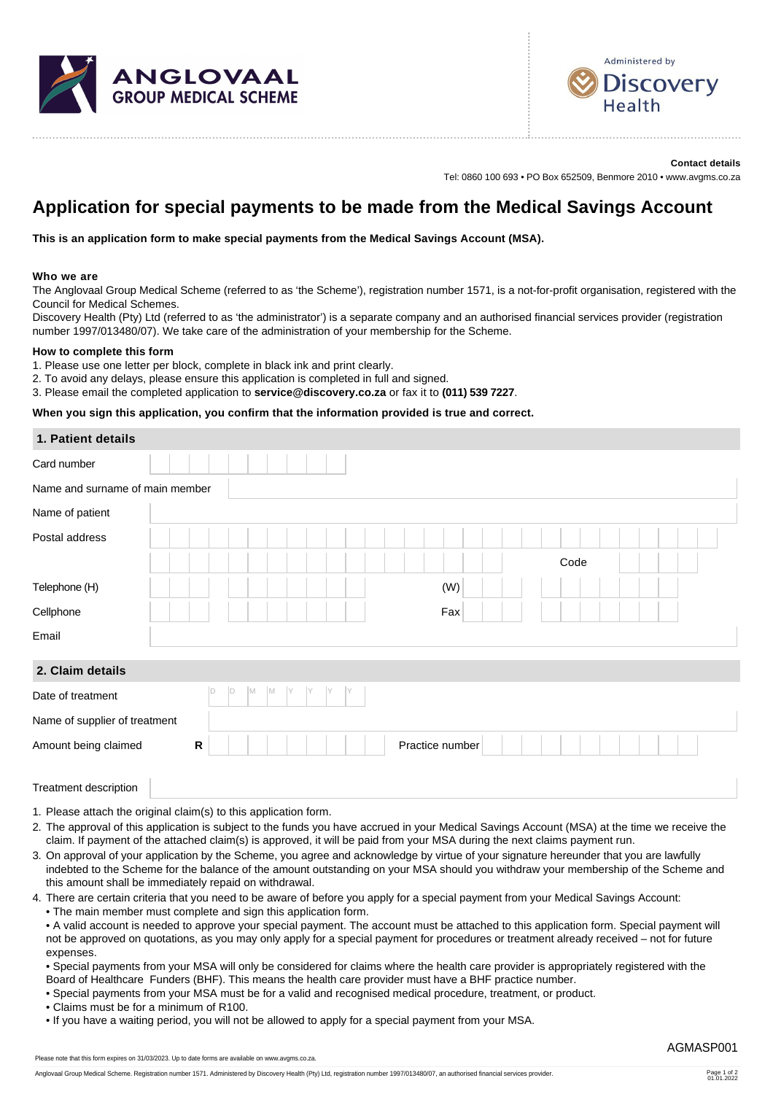



**Contact details** Tel: 0860 100 693 • PO Box 652509, Benmore 2010 • www.avgms.co.za

# **Application for special payments to be made from the Medical Savings Account**

**This is an application form to make special payments from the Medical Savings Account (MSA).**

### **Who we are**

The Anglovaal Group Medical Scheme (referred to as 'the Scheme'), registration number 1571, is a not-for-profit organisation, registered with the Council for Medical Schemes.

Discovery Health (Pty) Ltd (referred to as 'the administrator') is a separate company and an authorised financial services provider (registration number 1997/013480/07). We take care of the administration of your membership for the Scheme.

#### **How to complete this form**

- 1. Please use one letter per block, complete in black ink and print clearly.
- 2. To avoid any delays, please ensure this application is completed in full and signed.

3. Please email the completed application to **service@discovery.co.za** or fax it to **(011) 539 7227**.

# **When you sign this application, you confirm that the information provided is true and correct.**

| 1. Patient details              |  |  |           |     |   |   |   |    |    |   |     |  |  |  |                 |     |  |  |  |      |  |  |  |  |
|---------------------------------|--|--|-----------|-----|---|---|---|----|----|---|-----|--|--|--|-----------------|-----|--|--|--|------|--|--|--|--|
| Card number                     |  |  |           |     |   |   |   |    |    |   |     |  |  |  |                 |     |  |  |  |      |  |  |  |  |
| Name and surname of main member |  |  |           |     |   |   |   |    |    |   |     |  |  |  |                 |     |  |  |  |      |  |  |  |  |
| Name of patient                 |  |  |           |     |   |   |   |    |    |   |     |  |  |  |                 |     |  |  |  |      |  |  |  |  |
| Postal address                  |  |  |           |     |   |   |   |    |    |   |     |  |  |  |                 |     |  |  |  |      |  |  |  |  |
|                                 |  |  |           |     |   |   |   |    |    |   |     |  |  |  |                 |     |  |  |  | Code |  |  |  |  |
| Telephone (H)                   |  |  |           |     |   |   |   |    |    |   |     |  |  |  |                 | (W) |  |  |  |      |  |  |  |  |
| Cellphone                       |  |  |           |     |   |   |   |    |    |   |     |  |  |  |                 | Fax |  |  |  |      |  |  |  |  |
| Email                           |  |  |           |     |   |   |   |    |    |   |     |  |  |  |                 |     |  |  |  |      |  |  |  |  |
| 2. Claim details                |  |  |           |     |   |   |   |    |    |   |     |  |  |  |                 |     |  |  |  |      |  |  |  |  |
| Date of treatment               |  |  |           | ID. | D | M | M | IY | IY | Y | IY. |  |  |  |                 |     |  |  |  |      |  |  |  |  |
| Name of supplier of treatment   |  |  |           |     |   |   |   |    |    |   |     |  |  |  |                 |     |  |  |  |      |  |  |  |  |
| Amount being claimed            |  |  | ${\sf R}$ |     |   |   |   |    |    |   |     |  |  |  | Practice number |     |  |  |  |      |  |  |  |  |
| Treatment description           |  |  |           |     |   |   |   |    |    |   |     |  |  |  |                 |     |  |  |  |      |  |  |  |  |

1. Please attach the original claim(s) to this application form.

- 2. The approval of this application is subject to the funds you have accrued in your Medical Savings Account (MSA) at the time we receive the claim. If payment of the attached claim(s) is approved, it will be paid from your MSA during the next claims payment run.
- 3. On approval of your application by the Scheme, you agree and acknowledge by virtue of your signature hereunder that you are lawfully indebted to the Scheme for the balance of the amount outstanding on your MSA should you withdraw your membership of the Scheme and this amount shall be immediately repaid on withdrawal.
- 4. There are certain criteria that you need to be aware of before you apply for a special payment from your Medical Savings Account: • The main member must complete and sign this application form.
	- A valid account is needed to approve your special payment. The account must be attached to this application form. Special payment will not be approved on quotations, as you may only apply for a special payment for procedures or treatment already received – not for future expenses.
	- Special payments from your MSA will only be considered for claims where the health care provider is appropriately registered with the Board of Healthcare Funders (BHF). This means the health care provider must have a BHF practice number.
	- Special payments from your MSA must be for a valid and recognised medical procedure, treatment, or product.

• Claims must be for a minimum of R100.

• If you have a waiting period, you will not be allowed to apply for a special payment from your MSA.